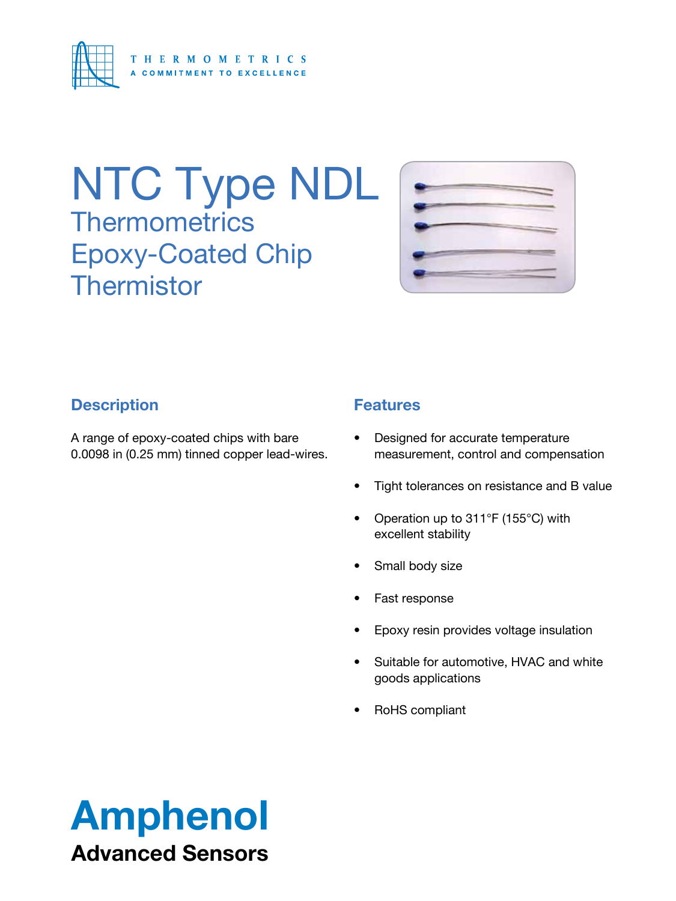

# NTC Type NDL **Thermometrics** Epoxy-Coated Chip **Thermistor**



## **Description**

A range of epoxy-coated chips with bare 0.0098 in (0.25 mm) tinned copper lead-wires.

## **Features**

- • Designed for accurate temperature measurement, control and compensation
- Tight tolerances on resistance and B value
- Operation up to 311°F (155°C) with excellent stability
- Small body size
- Fast response
- Epoxy resin provides voltage insulation
- • Suitable for automotive, HVAC and white goods applications
- RoHS compliant